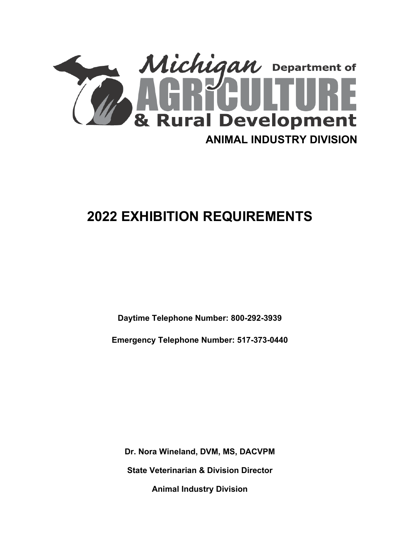

# **2022 EXHIBITION REQUIREMENTS**

**Daytime Telephone Number: 800-292-3939**

**Emergency Telephone Number: 517-373-0440**

**Dr. Nora Wineland, DVM, MS, DACVPM State Veterinarian & Division Director Animal Industry Division**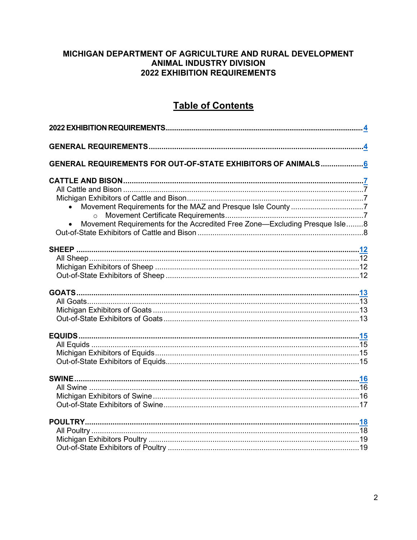### <span id="page-1-1"></span>MICHIGAN DEPARTMENT OF AGRICULTURE AND RURAL DEVELOPMENT **ANIMAL INDUSTRY DIVISION 2022 EXHIBITION REQUIREMENTS**

### **Table of Contents**

<span id="page-1-0"></span>

| GENERAL REQUIREMENTS FOR OUT-OF-STATE EXHIBITORS OF ANIMALS 6              |  |
|----------------------------------------------------------------------------|--|
|                                                                            |  |
|                                                                            |  |
|                                                                            |  |
|                                                                            |  |
| $\circ$                                                                    |  |
| Movement Requirements for the Accredited Free Zone-Excluding Presque Isle8 |  |
|                                                                            |  |
|                                                                            |  |
|                                                                            |  |
|                                                                            |  |
|                                                                            |  |
|                                                                            |  |
|                                                                            |  |
|                                                                            |  |
|                                                                            |  |
|                                                                            |  |
|                                                                            |  |
|                                                                            |  |
|                                                                            |  |
|                                                                            |  |
|                                                                            |  |
|                                                                            |  |
|                                                                            |  |
|                                                                            |  |
|                                                                            |  |
|                                                                            |  |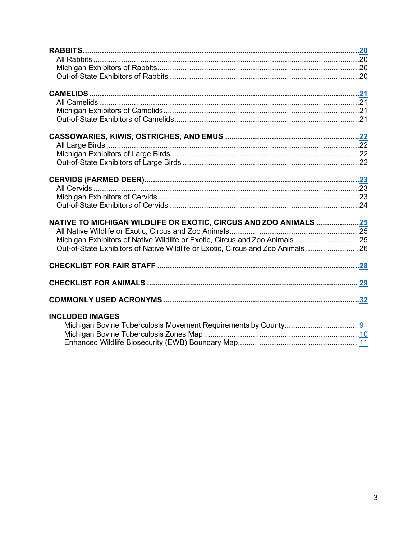| NATIVE TO MICHIGAN WILDLIFE OR EXOTIC, CIRCUS AND ZOO ANIMALS 25                |
|---------------------------------------------------------------------------------|
|                                                                                 |
| Michigan Exhibitors of Native Wildlife or Exotic, Circus and Zoo Animals 25     |
| Out-of-State Exhibitors of Native Wildlife or Exotic, Circus and Zoo Animals 26 |
|                                                                                 |
|                                                                                 |
|                                                                                 |
|                                                                                 |
| <b>INCLUDED IMAGES</b>                                                          |
|                                                                                 |
|                                                                                 |
|                                                                                 |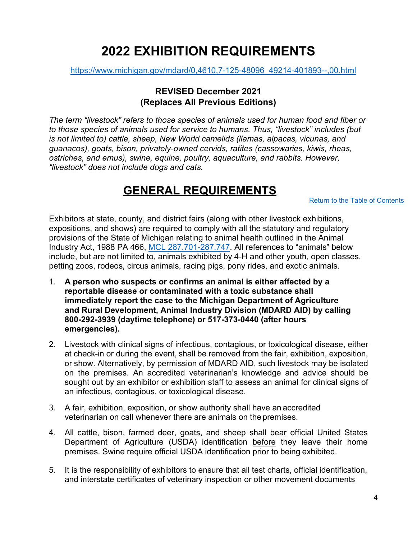# **2022 EXHIBITION REQUIREMENTS**

<span id="page-3-0"></span>[https://www.michigan.gov/mdard/0,4610,7-125-48096\\_49214-401893--,00.html](https://www.michigan.gov/mdard/0,4610,7-125-48096_49214-401893--,00.html)

### **REVISED December 2021 (Replaces All Previous Editions)**

*The term "livestock" refers to those species of animals used for human food and fiber or to those species of animals used for service to humans. Thus, "livestock" includes (but is not limited to) cattle, sheep, New World camelids (llamas, alpacas, vicunas, and guanacos), goats, bison, privately-owned cervids, ratites (cassowaries, kiwis, rheas, ostriches, and emus), swine, equine, poultry, aquaculture, and rabbits. However, "livestock" does not include dogs and cats.*

# **GENERAL REQUIREMENTS**

[Return to the Table of Contents](#page-1-0)

<span id="page-3-1"></span>Exhibitors at state, county, and district fairs (along with other livestock exhibitions, expositions, and shows) are required to comply with all the statutory and regulatory provisions of the State of Michigan relating to animal health outlined in the Animal Industry Act, 1988 PA 466, [MCL 287.701-287.747.](http://legislature.mi.gov/doc.aspx?mcl-Act-466-of-1988) All references to "animals" below include, but are not limited to, animals exhibited by 4-H and other youth, open classes, petting zoos, rodeos, circus animals, racing pigs, pony rides, and exotic animals.

- 1. **A person who suspects or confirms an animal is either affected by a reportable disease or contaminated with a toxic substance shall immediately report the case to the Michigan Department of Agriculture and Rural Development, Animal Industry Division (MDARD AID) by calling 800-292-3939 (daytime telephone) or 517-373-0440 (after hours emergencies).**
- 2. Livestock with clinical signs of infectious, contagious, or toxicological disease, either at check-in or during the event, shall be removed from the fair, exhibition, exposition, or show. Alternatively, by permission of MDARD AID, such livestock may be isolated on the premises. An accredited veterinarian's knowledge and advice should be sought out by an exhibitor or exhibition staff to assess an animal for clinical signs of an infectious, contagious, or toxicological disease.
- 3. A fair, exhibition, exposition, or show authority shall have an accredited veterinarian on call whenever there are animals on the premises.
- 4. All cattle, bison, farmed deer, goats, and sheep shall bear official United States Department of Agriculture (USDA) identification before they leave their home premises. Swine require official USDA identification prior to being exhibited.
- 5. It is the responsibility of exhibitors to ensure that all test charts, official identification, and interstate certificates of veterinary inspection or other movement documents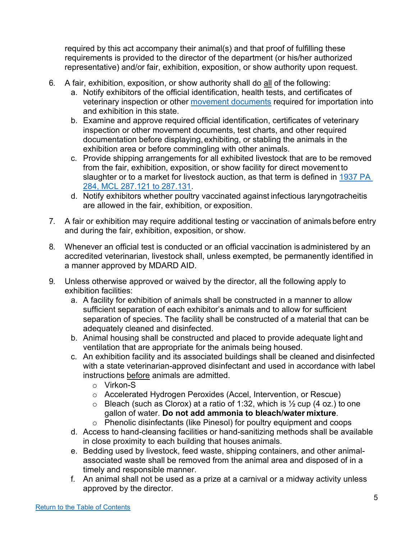required by this act accompany their animal(s) and that proof of fulfilling these requirements is provided to the director of the department (or his/her authorized representative) and/or fair, exhibition, exposition, or show authority upon request.

- 6. A fair, exhibition, exposition, or show authority shall do all of the following:
	- a. Notify exhibitors of the official identification, health tests, and certificates of veterinary inspection or other [movement documents](https://www.michigan.gov/mdard/0,4610,7-125-48096_48149---,00.html) required for importation into and exhibition in this state.
	- b. Examine and approve required official identification, certificates of veterinary inspection or other movement documents, test charts, and other required documentation before displaying,exhibiting, or stabling the animals in the exhibition area or before commingling with other animals.
	- c. Provide shipping arrangements for all exhibited livestock that are to be removed from the fair, exhibition, exposition, or show facility for direct movement to slaughter or to a market for livestock auction, as that term is defined in [1937 PA](http://legislature.mi.gov/doc.aspx?mcl-Act-284-of-1937)  [284, MCL 287.121 to](http://legislature.mi.gov/doc.aspx?mcl-Act-284-of-1937) 287.131.
	- d. Notify exhibitors whether poultry vaccinated against infectious laryngotracheitis are allowed in the fair, exhibition, or exposition.
- 7. A fair or exhibition may require additional testing or vaccination of animals before entry and during the fair, exhibition, exposition, or show.
- 8. Whenever an official test is conducted or an official vaccination is administered by an accredited veterinarian, livestock shall, unless exempted, be permanently identified in a manner approved by MDARD AID.
- 9. Unless otherwise approved or waived by the director, all the following apply to exhibition facilities:
	- a. A facility for exhibition of animals shall be constructed in a manner to allow sufficient separation of each exhibitor's animals and to allow for sufficient separation of species. The facility shall be constructed of a material that can be adequately cleaned and disinfected.
	- b. Animal housing shall be constructed and placed to provide adequate light and ventilation that are appropriate for the animals being housed.
	- c. An exhibition facility and its associated buildings shall be cleaned and disinfected with a state veterinarian-approved disinfectant and used in accordance with label instructions before animals are admitted.
		- o Virkon-S
		- o Accelerated Hydrogen Peroxides (Accel, Intervention, or Rescue)
		- $\circ$  Bleach (such as Clorox) at a ratio of 1:32, which is  $\frac{1}{2}$  cup (4 oz.) to one gallon of water. **Do not add ammonia to bleach/water mixture**.
		- o Phenolic disinfectants (like Pinesol) for poultry equipment and coops
	- d. Access to hand-cleansing facilities or hand-sanitizing methods shall be available in close proximity to each building that houses animals.
	- e. Bedding used by livestock, feed waste, shipping containers, and other animalassociated waste shall be removed from the animal area and disposed of in a timely and responsible manner.
	- f. An animal shall not be used as a prize at a carnival or a midway activity unless approved by the director.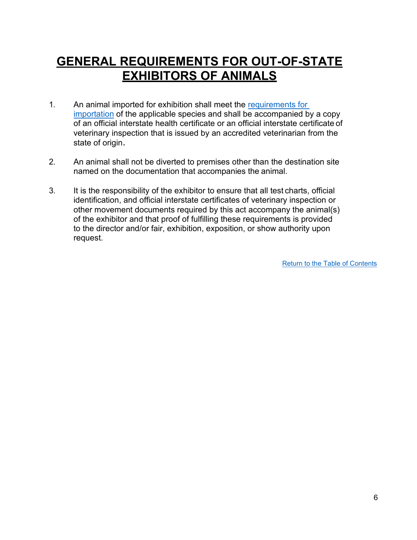# <span id="page-5-0"></span>**GENERAL REQUIREMENTS FOR OUT-OF-STATE EXHIBITORS OF ANIMALS**

- 1. An animal imported for exhibition shall meet the [requirements for](http://www.mi.gov/animalimport)  [importation](http://www.mi.gov/animalimport) of the applicable species and shall be accompanied by a copy of an official interstate health certificate or an official interstate certificate of veterinary inspection that is issued by an accredited veterinarian from the state of origin.
- 2. An animal shall not be diverted to premises other than the destination site named on the documentation that accompanies the animal.
- 3. It is the responsibility of the exhibitor to ensure that all test charts, official identification, and official interstate certificates of veterinary inspection or other movement documents required by this act accompany the animal(s) of the exhibitor and that proof of fulfilling these requirements is provided to the director and/or fair, exhibition, exposition, or show authority upon request.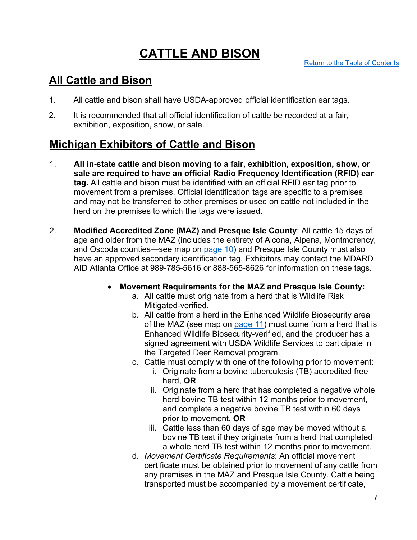# **CATTLE AND BISON**

## <span id="page-6-0"></span>**All Cattle and Bison**

- 1. All cattle and bison shall have USDA-approved official identification ear tags.
- 2. It is recommended that all official identification of cattle be recorded at a fair, exhibition, exposition, show, or sale.

## **Michigan Exhibitors of Cattle and Bison**

- 1. **All in-state cattle and bison moving to a fair, exhibition, exposition, show, or sale are required to have an official Radio Frequency Identification (RFID) ear tag.** All cattle and bison must be identified with an official RFID ear tag prior to movement from a premises. Official identification tags are specific to a premises and may not be transferred to other premises or used on cattle not included in the herd on the premises to which the tags were issued.
- 2. **Modified Accredited Zone (MAZ) and Presque Isle County**: All cattle 15 days of age and older from the MAZ (includes the entirety of Alcona, Alpena, Montmorency, and Oscoda counties—see map on [page 10\)](#page-9-0) and Presque Isle County must also have an approved secondary identification tag. Exhibitors may contact the MDARD AID Atlanta Office at 989-785-5616 or 888-565-8626 for information on these tags.
	- **Movement Requirements for the MAZ and Presque Isle County:**
		- a. All cattle must originate from a herd that is Wildlife Risk Mitigated-verified.
		- b. All cattle from a herd in the Enhanced Wildlife Biosecurity area of the MAZ (see map on [page 11\)](#page-10-0) must come from a herd that is Enhanced Wildlife Biosecurity-verified, and the producer has a signed agreement with USDA Wildlife Services to participate in the Targeted Deer Removal program.
		- c. Cattle must comply with one of the following prior to movement:
			- i. Originate from a bovine tuberculosis (TB) accredited free herd, **OR**
			- ii. Originate from a herd that has completed a negative whole herd bovine TB test within 12 months prior to movement, and complete a negative bovine TB test within 60 days prior to movement, **OR**
			- iii. Cattle less than 60 days of age may be moved without a bovine TB test if they originate from a herd that completed a whole herd TB test within 12 months prior to movement.
		- d. *Movement Certificate Requirements*: An official movement certificate must be obtained prior to movement of any cattle from any premises in the MAZ and Presque Isle County. Cattle being transported must be accompanied by a movement certificate,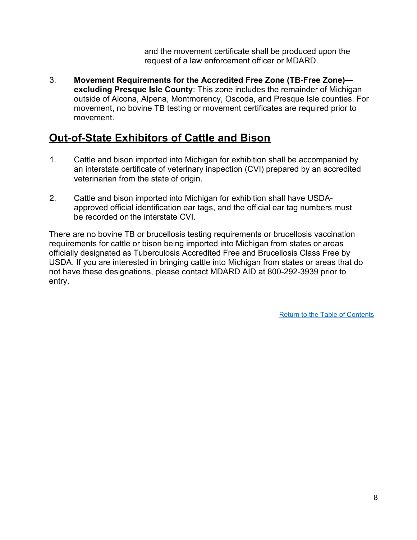and the movement certificate shall be produced upon the request of a law enforcement officer or MDARD.

3. **Movement Requirements for the Accredited Free Zone (TB-Free Zone) excluding Presque Isle County**: This zone includes the remainder of Michigan outside of Alcona, Alpena, Montmorency, Oscoda, and Presque Isle counties. For movement, no bovine TB testing or movement certificates are required prior to movement.

### **Out-of-State Exhibitors of Cattle and Bison**

- 1. Cattle and bison imported into Michigan for exhibition shall be accompanied by an interstate certificate of veterinary inspection (CVI) prepared by an accredited veterinarian from the state of origin.
- 2. Cattle and bison imported into Michigan for exhibition shall have USDAapproved official identification ear tags, and the official ear tag numbers must be recorded on the interstate CVI.

There are no bovine TB or brucellosis testing requirements or brucellosis vaccination requirements for cattle or bison being imported into Michigan from states or areas officially designated as Tuberculosis Accredited Free and Brucellosis Class Free by USDA. If you are interested in bringing cattle into Michigan from states or areas that do not have these designations, please contact MDARD AID at 800-292-3939 prior to entry.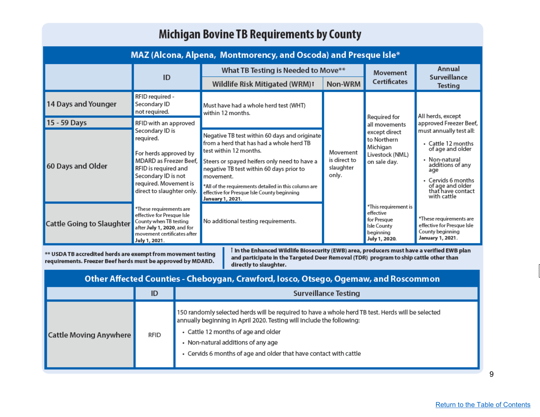# Michigan Bovine TB Requirements by County

| MAZ (Alcona, Alpena, Montmorency, and Oscoda) and Presque Isle* |                                                                                                                                                                                                               |                                                                                                                                                                                                                                                                                                                                                                |                                                |                                                                                                              |                                                                                                                                                                                             |  |  |
|-----------------------------------------------------------------|---------------------------------------------------------------------------------------------------------------------------------------------------------------------------------------------------------------|----------------------------------------------------------------------------------------------------------------------------------------------------------------------------------------------------------------------------------------------------------------------------------------------------------------------------------------------------------------|------------------------------------------------|--------------------------------------------------------------------------------------------------------------|---------------------------------------------------------------------------------------------------------------------------------------------------------------------------------------------|--|--|
|                                                                 | ID                                                                                                                                                                                                            | What TB Testing is Needed to Move**                                                                                                                                                                                                                                                                                                                            |                                                | Movement                                                                                                     | Annual                                                                                                                                                                                      |  |  |
|                                                                 |                                                                                                                                                                                                               | Wildlife Risk Mitigated (WRM)1                                                                                                                                                                                                                                                                                                                                 | Non-WRM                                        | <b>Certificates</b>                                                                                          | Surveillance<br><b>Testing</b>                                                                                                                                                              |  |  |
| 14 Days and Younger                                             | RFID required -<br>Secondary ID<br>not required.                                                                                                                                                              | Must have had a whole herd test (WHT)<br>within 12 months.                                                                                                                                                                                                                                                                                                     | Movement<br>is direct to<br>slaughter<br>only. | Required for<br>all movements<br>except direct<br>to Northern<br>Michigan<br>Livestock (NML)<br>on sale day. | All herds, except<br>approved Freezer Beef,                                                                                                                                                 |  |  |
| 15 - 59 Days                                                    | RFID with an approved<br>Secondary ID is<br>required.<br>For herds approved by<br>MDARD as Freezer Beef,<br>RFID is required and<br>Secondary ID is not<br>required. Movement is<br>direct to slaughter only. |                                                                                                                                                                                                                                                                                                                                                                |                                                |                                                                                                              |                                                                                                                                                                                             |  |  |
| 60 Days and Older                                               |                                                                                                                                                                                                               | Negative TB test within 60 days and originate<br>from a herd that has had a whole herd TB<br>test within 12 months.<br>Steers or spayed heifers only need to have a<br>negative TB test within 60 days prior to<br>movement.<br>*All of the requirements detailed in this column are<br>effective for Presque Isle County beginning<br><b>January 1, 2021.</b> |                                                |                                                                                                              | must annually test all:<br>• Cattle 12 months<br>of age and older<br>• Non-natural<br>additions of any<br>age<br>• Cervids 6 months<br>of age and older<br>that have contact<br>with cattle |  |  |
| Cattle Going to Slaughter                                       | *These requirements are<br>effective for Presque Isle<br>County when TB testing<br>after July 1, 2020, and for<br>movement certificates after<br>July 1, 2021.                                                | No additional testing requirements.                                                                                                                                                                                                                                                                                                                            |                                                | *This requirement is<br>effective<br>for Presque<br>Isle County<br>beginning<br>July 1, 2020.                | *These requirements are<br>effective for Presque Isle<br>County beginning<br>January 1, 2021.                                                                                               |  |  |

\*\* USDA TB accredited herds are exempt from movement testing requirements. Freezer Beef herds must be approved by MDARD.

I In the Enhanced Wildlife Biosecurity (EWB) area, producers must have a verified EWB plan and participate in the Targeted Deer Removal (TDR) program to ship cattle other than directly to slaughter.

<span id="page-8-0"></span>

| Other Affected Counties - Cheboygan, Crawford, Iosco, Otsego, Ogemaw, and Roscommon |             |                                                                                                                                                                                                                                                                                                                              |  |  |  |  |
|-------------------------------------------------------------------------------------|-------------|------------------------------------------------------------------------------------------------------------------------------------------------------------------------------------------------------------------------------------------------------------------------------------------------------------------------------|--|--|--|--|
|                                                                                     | ID          | <b>Surveillance Testing</b>                                                                                                                                                                                                                                                                                                  |  |  |  |  |
| <b>Cattle Moving Anywhere</b>                                                       | <b>RFID</b> | 150 randomly selected herds will be required to have a whole herd TB test. Herds will be selected<br>annually beginning in April 2020. Testing will include the following:<br>• Cattle 12 months of age and older<br>• Non-natural additions of any age<br>• Cervids 6 months of age and older that have contact with cattle |  |  |  |  |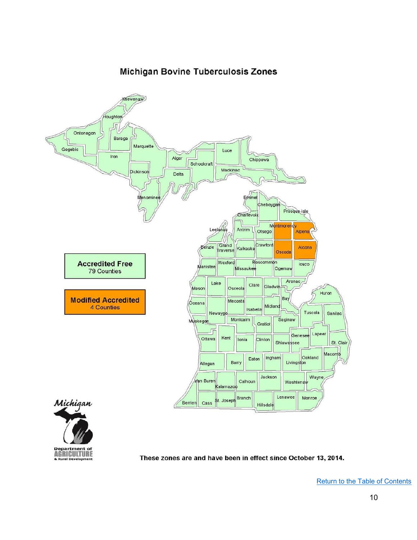### **Michigan Bovine Tuberculosis Zones**

<span id="page-9-0"></span>

These zones are and have been in effect since October 13, 2014.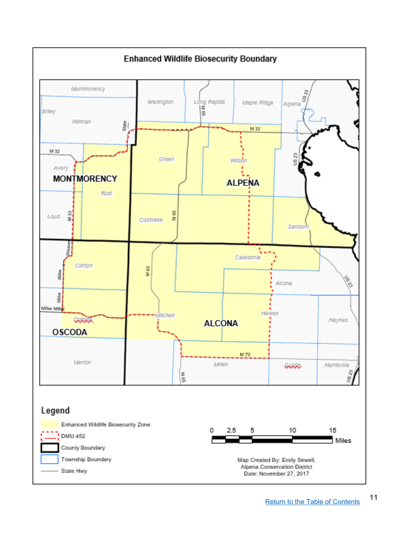<span id="page-10-0"></span>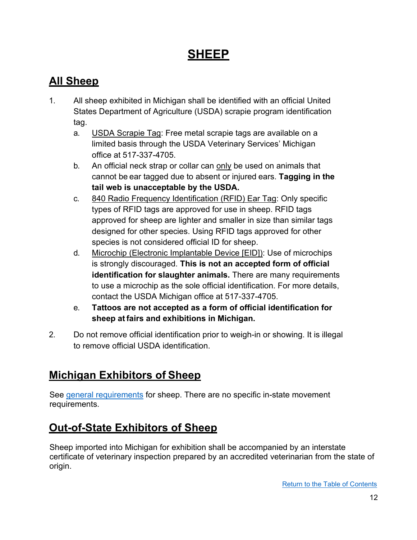# **SHEEP**

# <span id="page-11-0"></span>**All Sheep**

- 1. All sheep exhibited in Michigan shall be identified with an official United States Department of Agriculture (USDA) scrapie program identification tag.
	- a. USDA Scrapie Tag: Free metal scrapie tags are available on a limited basis through the USDA Veterinary Services' Michigan office at 517-337-4705.
	- b. An official neck strap or collar can only be used on animals that cannot be ear tagged due to absent or injured ears. **Tagging in the tail web is unacceptable by the USDA.**
	- c. 840 Radio Frequency Identification (RFID) Ear Tag: Only specific types of RFID tags are approved for use in sheep. RFID tags approved for sheep are lighter and smaller in size than similar tags designed for other species. Using RFID tags approved for other species is not considered official ID for sheep.
	- d. Microchip (Electronic Implantable Device [EID]): Use of microchips is strongly discouraged. **This is not an accepted form of official identification for slaughter animals.** There are many requirements to use a microchip as the sole official identification. For more details, contact the USDA Michigan office at 517-337-4705.
	- e. **Tattoos are not accepted as a form of official identification for sheep at fairs and exhibitions in Michigan.**
- 2. Do not remove official identification prior to weigh-in or showing. It is illegal to remove official USDA identification.

# **Michigan Exhibitors of Sheep**

See [general requirements](#page-3-1) for sheep. There are no specific in-state movement requirements.

# **Out-of-State Exhibitors of Sheep**

Sheep imported into Michigan for exhibition shall be accompanied by an interstate certificate of veterinary inspection prepared by an accredited veterinarian from the state of origin.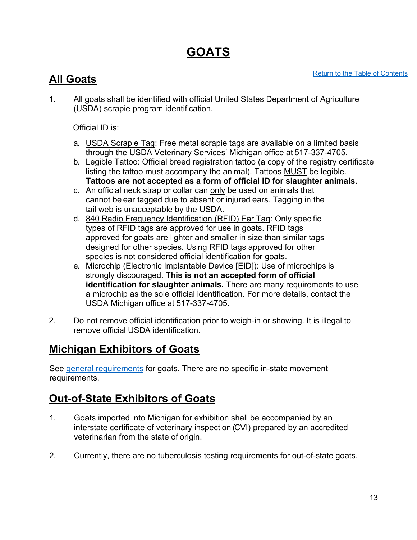# <span id="page-12-0"></span>**GOATS**

## **All Goats**

1. All goats shall be identified with official United States Department of Agriculture (USDA) scrapie program identification.

Official ID is:

- a. USDA Scrapie Tag: Free metal scrapie tags are available on a limited basis through the USDA Veterinary Services' Michigan office at 517-337-4705.
- b. Legible Tattoo: Official breed registration tattoo (a copy of the registry certificate listing the tattoo must accompany the animal). Tattoos **MUST** be legible. **Tattoos are not accepted as a form of official ID for slaughter animals.**
- c. An official neck strap or collar can only be used on animals that cannot be ear tagged due to absent or injured ears. Tagging in the tail web is unacceptable by the USDA.
- d. 840 Radio Frequency Identification (RFID) Ear Tag: Only specific types of RFID tags are approved for use in goats. RFID tags approved for goats are lighter and smaller in size than similar tags designed for other species. Using RFID tags approved for other species is not considered official identification for goats.
- e. Microchip (Electronic Implantable Device [EID]): Use of microchips is strongly discouraged. **This is not an accepted form of official identification for slaughter animals.** There are many requirements to use a microchip as the sole official identification. For more details, contact the USDA Michigan office at 517-337-4705.
- 2. Do not remove official identification prior to weigh-in or showing. It is illegal to remove official USDA identification.

# **Michigan Exhibitors of Goats**

See [general requirements](#page-3-1) for goats. There are no specific in-state movement requirements.

# **Out-of-State Exhibitors of Goats**

- 1. Goats imported into Michigan for exhibition shall be accompanied by an interstate certificate of veterinary inspection (CVI) prepared by an accredited veterinarian from the state of origin.
- 2. Currently, there are no tuberculosis testing requirements for out-of-state goats.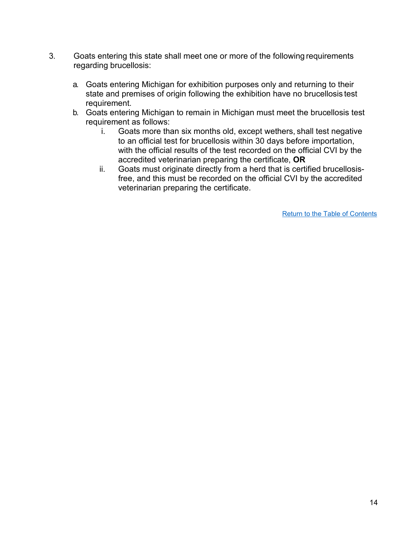- 3. Goats entering this state shall meet one or more of the following requirements regarding brucellosis:
	- a. Goats entering Michigan for exhibition purposes only and returning to their state and premises of origin following the exhibition have no brucellosis test requirement.
	- b. Goats entering Michigan to remain in Michigan must meet the brucellosis test requirement as follows:
		- i. Goats more than six months old, except wethers, shall test negative to an official test for brucellosis within 30 days before importation, with the official results of the test recorded on the official CVI by the accredited veterinarian preparing the certificate, **OR**
		- ii. Goats must originate directly from a herd that is certified brucellosisfree, and this must be recorded on the official CVI by the accredited veterinarian preparing the certificate.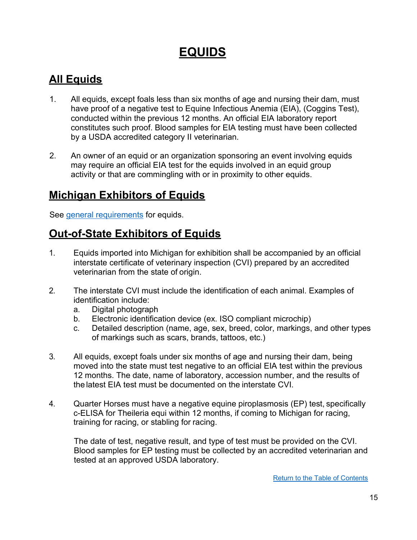# **EQUIDS**

# **All Equids**

- 1. All equids, except foals less than six months of age and nursing their dam, must have proof of a negative test to Equine Infectious Anemia (EIA), (Coggins Test), conducted within the previous 12 months. An official EIA laboratory report constitutes such proof. Blood samples for EIA testing must have been collected by a USDA accredited category II veterinarian.
- 2. An owner of an equid or an organization sponsoring an event involving equids may require an official EIA test for the equids involved in an equid group activity or that are commingling with or in proximity to other equids.

## **Michigan Exhibitors of Equids**

See [general requirements](#page-3-1) for equids.

## **Out-of-State Exhibitors of Equids**

- 1. Equids imported into Michigan for exhibition shall be accompanied by an official interstate certificate of veterinary inspection (CVI) prepared by an accredited veterinarian from the state of origin.
- 2. The interstate CVI must include the identification of each animal. Examples of identification include:
	- a. Digital photograph
	- b. Electronic identification device (ex. ISO compliant microchip)
	- c. Detailed description (name, age, sex, breed, color, markings, and other types of markings such as scars, brands, tattoos, etc.)
- 3. All equids, except foals under six months of age and nursing their dam, being moved into the state must test negative to an official EIA test within the previous 12 months. The date, name of laboratory, accession number, and the results of the latest EIA test must be documented on the interstate CVI.
- 4. Quarter Horses must have a negative equine piroplasmosis (EP) test, specifically c-ELISA for Theileria equi within 12 months, if coming to Michigan for racing, training for racing, or stabling for racing.

The date of test, negative result, and type of test must be provided on the CVI. Blood samples for EP testing must be collected by an accredited veterinarian and tested at an approved USDA laboratory.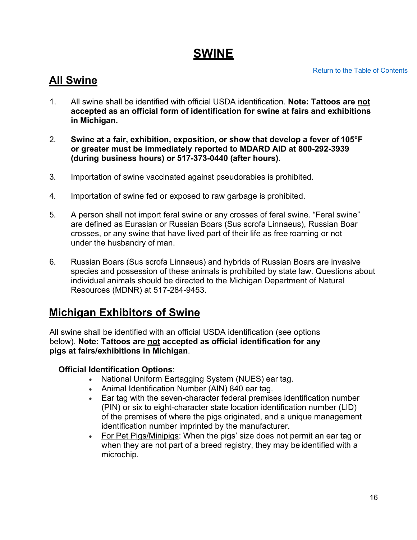# **SWINE**

[Return to the Table of Contents](#page-1-0)

## <span id="page-15-0"></span>**All Swine**

- 1. All swine shall be identified with official USDA identification. **Note: Tattoos are not accepted as an official form of identification for swine at fairs and exhibitions in Michigan.**
- 2. **Swine at a fair, exhibition, exposition, or show that develop a fever of 105°F or greater must be immediately reported to MDARD AID at 800-292-3939 (during business hours) or 517-373-0440 (after hours).**
- 3. Importation of swine vaccinated against pseudorabies is prohibited.
- 4. Importation of swine fed or exposed to raw garbage is prohibited.
- 5. A person shall not import feral swine or any crosses of feral swine. "Feral swine" are defined as Eurasian or Russian Boars (Sus scrofa Linnaeus), Russian Boar crosses, or any swine that have lived part of their life as free roaming or not under the husbandry of man.
- 6. Russian Boars (Sus scrofa Linnaeus) and hybrids of Russian Boars are invasive species and possession of these animals is prohibited by state law. Questions about individual animals should be directed to the Michigan Department of Natural Resources (MDNR) at 517-284-9453.

### **Michigan Exhibitors of Swine**

All swine shall be identified with an official USDA identification (see options below). **Note: Tattoos are not accepted as official identification for any pigs at fairs/exhibitions in Michigan**.

### **Official Identification Options**:

- National Uniform Eartagging System (NUES) ear tag.
- Animal Identification Number (AIN) 840 ear tag.
- Ear tag with the seven-character federal premises identification number (PIN) or six to eight-character state location identification number (LID) of the premises of where the pigs originated, and a unique management identification number imprinted by the manufacturer.
- For Pet Pigs/Minipigs: When the pigs' size does not permit an ear tag or when they are not part of a breed registry, they may be identified with a microchip.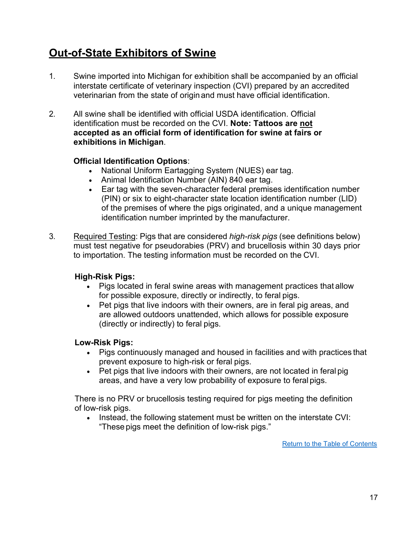# **Out-of-State Exhibitors of Swine**

- 1. Swine imported into Michigan for exhibition shall be accompanied by an official interstate certificate of veterinary inspection (CVI) prepared by an accredited veterinarian from the state of originand must have official identification.
- 2. All swine shall be identified with official USDA identification. Official identification must be recorded on the CVI. **Note: Tattoos are not accepted as an official form of identification for swine at fairs or exhibitions in Michigan**.

### **Official Identification Options**:

- National Uniform Eartagging System (NUES) ear tag.
- Animal Identification Number (AIN) 840 ear tag.
- Ear tag with the seven-character federal premises identification number (PIN) or six to eight-character state location identification number (LID) of the premises of where the pigs originated, and a unique management identification number imprinted by the manufacturer.
- 3. Required Testing: Pigs that are considered *high-risk pigs* (see definitions below) must test negative for pseudorabies (PRV) and brucellosis within 30 days prior to importation. The testing information must be recorded on the CVI.

#### **High-Risk Pigs:**

- Pigs located in feral swine areas with management practices that allow for possible exposure, directly or indirectly, to feral pigs.
- Pet pigs that live indoors with their owners, are in feral pig areas, and are allowed outdoors unattended, which allows for possible exposure (directly or indirectly) to feral pigs.

#### **Low-Risk Pigs:**

- Pigs continuously managed and housed in facilities and with practices that prevent exposure to high-risk or feral pigs.
- Pet pigs that live indoors with their owners, are not located in feral pig areas, and have a very low probability of exposure to feral pigs.

There is no PRV or brucellosis testing required for pigs meeting the definition of low-risk pigs.

• Instead, the following statement must be written on the interstate CVI: "These pigs meet the definition of low-risk pigs."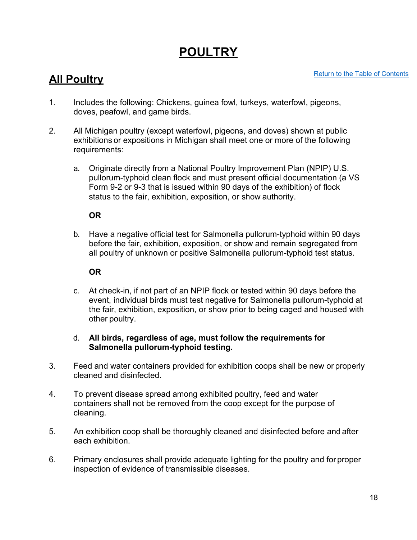# <span id="page-17-0"></span>**POULTRY**

### **All Poultry**

- 1. Includes the following: Chickens, guinea fowl, turkeys, waterfowl, pigeons, doves, peafowl, and game birds.
- 2. All Michigan poultry (except waterfowl, pigeons, and doves) shown at public exhibitions or expositions in Michigan shall meet one or more of the following requirements:
	- a. Originate directly from a National Poultry Improvement Plan (NPIP) U.S. pullorum-typhoid clean flock and must present official documentation (a VS Form 9-2 or 9-3 that is issued within 90 days of the exhibition) of flock status to the fair, exhibition, exposition, or show authority.

### **OR**

b. Have a negative official test for Salmonella pullorum-typhoid within 90 days before the fair, exhibition, exposition, or show and remain segregated from all poultry of unknown or positive Salmonella pullorum-typhoid test status.

### **OR**

c. At check-in, if not part of an NPIP flock or tested within 90 days before the event, individual birds must test negative for Salmonella pullorum-typhoid at the fair, exhibition, exposition, or show prior to being caged and housed with other poultry.

#### d. **All birds, regardless of age, must follow the requirements for Salmonella pullorum-typhoid testing.**

- 3. Feed and water containers provided for exhibition coops shall be new or properly cleaned and disinfected.
- 4. To prevent disease spread among exhibited poultry, feed and water containers shall not be removed from the coop except for the purpose of cleaning.
- 5. An exhibition coop shall be thoroughly cleaned and disinfected before and after each exhibition.
- 6. Primary enclosures shall provide adequate lighting for the poultry and for proper inspection of evidence of transmissible diseases.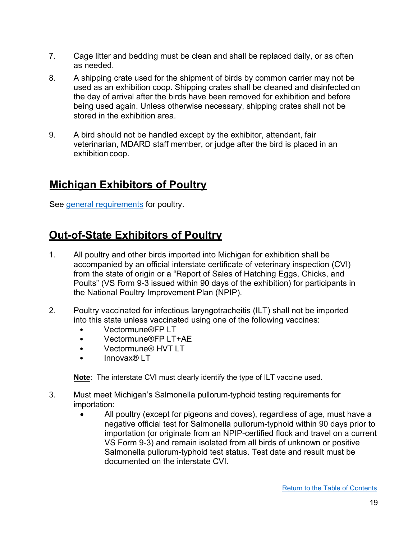- 7. Cage litter and bedding must be clean and shall be replaced daily, or as often as needed.
- 8. A shipping crate used for the shipment of birds by common carrier may not be used as an exhibition coop. Shipping crates shall be cleaned and disinfected on the day of arrival after the birds have been removed for exhibition and before being used again. Unless otherwise necessary, shipping crates shall not be stored in the exhibition area.
- 9. A bird should not be handled except by the exhibitor, attendant, fair veterinarian, MDARD staff member, or judge after the bird is placed in an exhibition coop.

## **Michigan Exhibitors of Poultry**

See [general requirements](#page-3-1) for poultry.

## **Out-of-State Exhibitors of Poultry**

- 1. All poultry and other birds imported into Michigan for exhibition shall be accompanied by an official interstate certificate of veterinary inspection (CVI) from the state of origin or a "Report of Sales of Hatching Eggs, Chicks, and Poults" (VS Form 9-3 issued within 90 days of the exhibition) for participants in the National Poultry Improvement Plan (NPIP).
- 2. Poultry vaccinated for infectious laryngotracheitis (ILT) shall not be imported into this state unless vaccinated using one of the following vaccines:
	- Vectormune®FP LT
	- Vectormune®FP LT+AE
	- Vectormune® HVT LT
	- Innovax® LT

**Note**: The interstate CVI must clearly identify the type of ILT vaccine used.

- 3. Must meet Michigan's Salmonella pullorum-typhoid testing requirements for importation:
	- All poultry (except for pigeons and doves), regardless of age, must have a negative official test for Salmonella pullorum-typhoid within 90 days prior to importation (or originate from an NPIP-certified flock and travel on a current VS Form 9-3) and remain isolated from all birds of unknown or positive Salmonella pullorum-typhoid test status. Test date and result must be documented on the interstate CVI.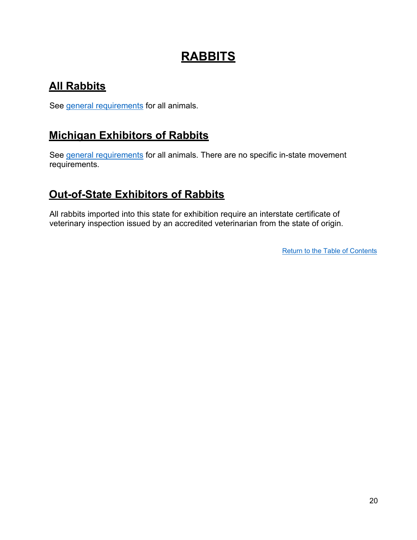# **RABBITS**

# <span id="page-19-0"></span>**All Rabbits**

See [general requirements](#page-3-1) for all animals.

## **Michigan Exhibitors of Rabbits**

See [general requirements](#page-3-1) for all animals. There are no specific in-state movement requirements.

## **Out-of-State Exhibitors of Rabbits**

All rabbits imported into this state for exhibition require an interstate certificate of veterinary inspection issued by an accredited veterinarian from the state of origin.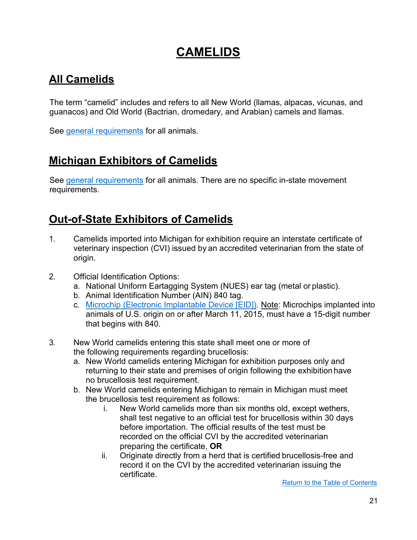# <span id="page-20-0"></span>**CAMELIDS**

# **All Camelids**

The term "camelid" includes and refers to all New World (llamas, alpacas, vicunas, and guanacos) and Old World (Bactrian, dromedary, and Arabian) camels and llamas.

See [general requirements](#page-3-1) for all animals.

## **Michigan Exhibitors of Camelids**

See [general requirements](#page-3-1) for all animals. There are no specific in-state movement requirements.

### **Out-of-State Exhibitors of Camelids**

- 1. Camelids imported into Michigan for exhibition require an interstate certificate of veterinary inspection (CVI) issued by an accredited veterinarian from the state of origin.
- 2. Official Identification Options:
	- a. National Uniform Eartagging System (NUES) ear tag (metal or plastic).
	- b. Animal Identification Number (AIN) 840 tag.
	- c. Microchip [\(Electronic Implantable Device \[EID\]\).](https://www.michigan.gov/documents/mdard/USDA-approved_840_Microchips_-_Sep_2019_679235_7.pdf) Note: Microchips implanted into animals of U.S. origin on or after March 11, 2015, must have a 15-digit number that begins with 840.
- 3. New World camelids entering this state shall meet one or more of the following requirements regarding brucellosis:
	- a. New World camelids entering Michigan for exhibition purposes only and returning to their state and premises of origin following the exhibition have no brucellosis test requirement.
	- b. New World camelids entering Michigan to remain in Michigan must meet the brucellosis test requirement as follows:
		- i. New World camelids more than six months old, except wethers, shall test negative to an official test for brucellosis within 30 days before importation. The official results of the test must be recorded on the official CVI by the accredited veterinarian preparing the certificate, **OR**
		- ii. Originate directly from a herd that is certified brucellosis-free and record it on the CVI by the accredited veterinarian issuing the certificate.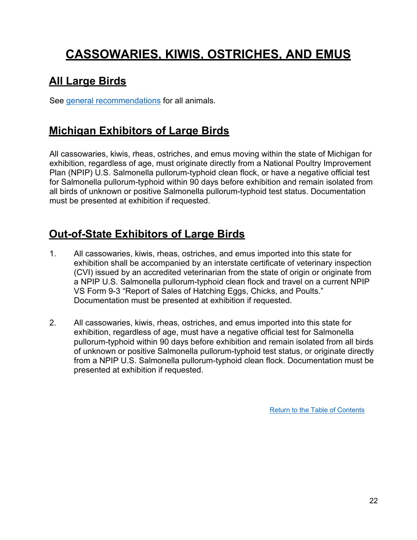# **CASSOWARIES, KIWIS, OSTRICHES, AND EMUS**

# <span id="page-21-0"></span>**All Large Birds**

See [general recommendations](#page-3-1) for all animals.

## **Michigan Exhibitors of Large Birds**

All cassowaries, kiwis, rheas, ostriches, and emus moving within the state of Michigan for exhibition, regardless of age, must originate directly from a National Poultry Improvement Plan (NPIP) U.S. Salmonella pullorum-typhoid clean flock, or have a negative official test for Salmonella pullorum-typhoid within 90 days before exhibition and remain isolated from all birds of unknown or positive Salmonella pullorum-typhoid test status. Documentation must be presented at exhibition if requested.

# **Out-of-State Exhibitors of Large Birds**

- 1. All cassowaries, kiwis, rheas, ostriches, and emus imported into this state for exhibition shall be accompanied by an interstate certificate of veterinary inspection (CVI) issued by an accredited veterinarian from the state of origin or originate from a NPIP U.S. Salmonella pullorum-typhoid clean flock and travel on a current NPIP VS Form 9-3 "Report of Sales of Hatching Eggs, Chicks, and Poults." Documentation must be presented at exhibition if requested.
- 2. All cassowaries, kiwis, rheas, ostriches, and emus imported into this state for exhibition, regardless of age, must have a negative official test for Salmonella pullorum-typhoid within 90 days before exhibition and remain isolated from all birds of unknown or positive Salmonella pullorum-typhoid test status, or originate directly from a NPIP U.S. Salmonella pullorum-typhoid clean flock. Documentation must be presented at exhibition if requested.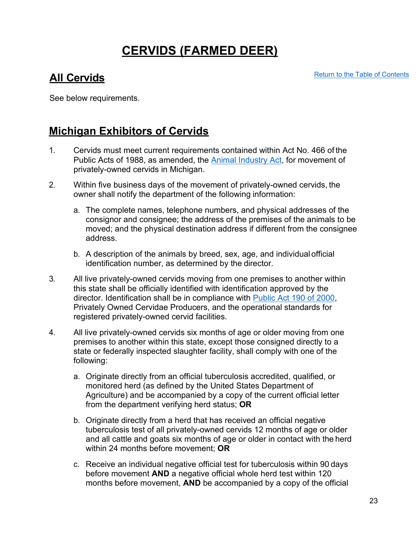# **CERVIDS (FARMED DEER)**

## <span id="page-22-0"></span>**All Cervids**

[Return to the Table of Contents](#page-1-0)

See below requirements.

### **Michigan Exhibitors of Cervids**

- 1. Cervids must meet current requirements contained within Act No. 466 of the Public Acts of 1988, as amended, the [Animal Industry Act,](http://legislature.mi.gov/doc.aspx?mcl-Act-466-of-1988) for movement of privately-owned cervids in Michigan.
- 2. Within five business days of the movement of privately-owned cervids, the owner shall notify the department of the following information:
	- a. The complete names, telephone numbers, and physical addresses of the consignor and consignee; the address of the premises of the animals to be moved; and the physical destination address if different from the consignee address.
	- b. A description of the animals by breed, sex, age, and individualofficial identification number, as determined by the director.
- 3. All live privately-owned cervids moving from one premises to another within this state shall be officially identified with identification approved by the director. Identification shall be in compliance with [Public Act 190 of 2000,](https://www.michigan.gov/documents/dnr/POC_OP_Standards_07_191455_7.pdf) Privately Owned Cervidae Producers, and the operational standards for registered privately-owned cervid facilities.
- 4. All live privately-owned cervids six months of age or older moving from one premises to another within this state, except those consigned directly to a state or federally inspected slaughter facility, shall comply with one of the following:
	- a. Originate directly from an official tuberculosis accredited, qualified, or monitored herd (as defined by the United States Department of Agriculture) and be accompanied by a copy of the current official letter from the department verifying herd status; **OR**
	- b. Originate directly from a herd that has received an official negative tuberculosis test of all privately-owned cervids 12 months of age or older and all cattle and goats six months of age or older in contact with the herd within 24 months before movement; **OR**
	- c. Receive an individual negative official test for tuberculosis within 90 days before movement **AND** a negative official whole herd test within 120 months before movement, **AND** be accompanied by a copy of the official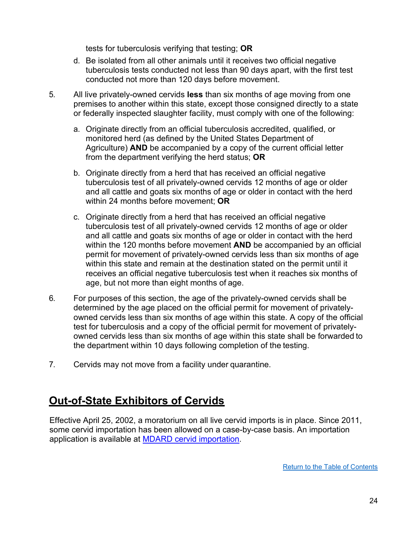tests for tuberculosis verifying that testing; **OR**

- d. Be isolated from all other animals until it receives two official negative tuberculosis tests conducted not less than 90 days apart, with the first test conducted not more than 120 days before movement.
- 5. All live privately-owned cervids **less** than six months of age moving from one premises to another within this state, except those consigned directly to a state or federally inspected slaughter facility, must comply with one of the following:
	- a. Originate directly from an official tuberculosis accredited, qualified, or monitored herd (as defined by the United States Department of Agriculture) **AND** be accompanied by a copy of the current official letter from the department verifying the herd status; **OR**
	- b. Originate directly from a herd that has received an official negative tuberculosis test of all privately-owned cervids 12 months of age or older and all cattle and goats six months of age or older in contact with the herd within 24 months before movement; **OR**
	- c. Originate directly from a herd that has received an official negative tuberculosis test of all privately-owned cervids 12 months of age or older and all cattle and goats six months of age or older in contact with the herd within the 120 months before movement **AND** be accompanied by an official permit for movement of privately-owned cervids less than six months of age within this state and remain at the destination stated on the permit until it receives an official negative tuberculosis test when it reaches six months of age, but not more than eight months of age.
- 6. For purposes of this section, the age of the privately-owned cervids shall be determined by the age placed on the official permit for movement of privatelyowned cervids less than six months of age within this state. A copy of the official test for tuberculosis and a copy of the official permit for movement of privatelyowned cervids less than six months of age within this state shall be forwarded to the department within 10 days following completion of the testing.
- 7. Cervids may not move from a facility under quarantine.

### **Out-of-State Exhibitors of Cervids**

Effective April 25, 2002, a moratorium on all live cervid imports is in place. Since 2011, some cervid importation has been allowed on a case-by-case basis. An importation application is available at [MDARD cervid](http://www.bit.ly/cervidimportation) importation.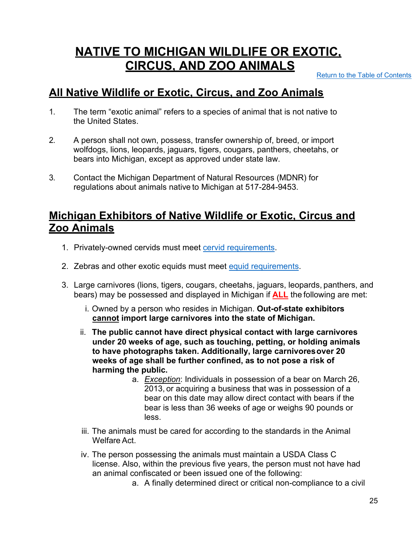# **NATIVE TO MICHIGAN WILDLIFE OR EXOTIC, CIRCUS, AND ZOO ANIMALS**

[Return to the Table of Contents](#page-1-0)

### <span id="page-24-0"></span>**All Native Wildlife or Exotic, Circus, and Zoo Animals**

- 1. The term "exotic animal" refers to a species of animal that is not native to the United States.
- 2. A person shall not own, possess, transfer ownership of, breed, or import wolfdogs, lions, leopards, jaguars, tigers, cougars, panthers, cheetahs, or bears into Michigan, except as approved under state law.
- 3. Contact the Michigan Department of Natural Resources (MDNR) for regulations about animals native to Michigan at 517-284-9453.

### **Michigan Exhibitors of Native Wildlife or Exotic, Circus and Zoo Animals**

- 1. Privately-owned cervids must meet [cervid requirements.](#page-22-0)
- 2. Zebras and other exotic equids must meet equid requirements.
- 3. Large carnivores (lions, tigers, cougars, cheetahs, jaguars, leopards, panthers, and bears) may be possessed and displayed in Michigan if **ALL** the following are met:
	- i. Owned by a person who resides in Michigan. **Out-of-state exhibitors cannot import large carnivores into the state of Michigan.**
	- ii. **The public cannot have direct physical contact with large carnivores under 20 weeks of age, such as touching, petting, or holding animals to have photographs taken. Additionally, large carnivoresover 20 weeks of age shall be further confined, as to not pose a risk of harming the public.**
		- a. *Exception*: Individuals in possession of a bear on March 26, 2013, or acquiring a business that was in possession of a bear on this date may allow direct contact with bears if the bear is less than 36 weeks of age or weighs 90 pounds or less.
	- iii. The animals must be cared for according to the standards in the Animal Welfare Act.
	- iv. The person possessing the animals must maintain a USDA Class C license. Also, within the previous five years, the person must not have had an animal confiscated or been issued one of the following:
		- a. A finally determined direct or critical non-compliance to a civil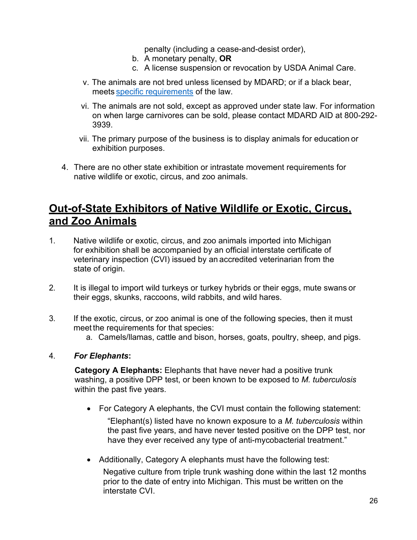penalty (including a cease-and-desist order),

- b. A monetary penalty, **OR**
- c. A license suspension or revocation by USDA Animal Care.
- v. The animals are not bred unless licensed by MDARD; or if a black bear, meets [specific requirements](http://legislature.mi.gov/doc.aspx?mcl-287-1122) of the law.
- vi. The animals are not sold, except as approved under state law. For information on when large carnivores can be sold, please contact MDARD AID at 800-292- 3939.
- vii. The primary purpose of the business is to display animals for education or exhibition purposes.
- 4. There are no other state exhibition or intrastate movement requirements for native wildlife or exotic, circus, and zoo animals.

### **Out-of-State Exhibitors of Native Wildlife or Exotic, Circus, and Zoo Animals**

- 1. Native wildlife or exotic, circus, and zoo animals imported into Michigan for exhibition shall be accompanied by an official interstate certificate of veterinary inspection (CVI) issued by an accredited veterinarian from the state of origin.
- 2. It is illegal to import wild turkeys or turkey hybrids or their eggs, mute swans or their eggs, skunks, raccoons, wild rabbits, and wild hares.
- 3. If the exotic, circus, or zoo animal is one of the following species, then it must meet the requirements for that species:
	- a. Camels/llamas, cattle and bison, horses, goats, poultry, sheep, and pigs.

#### 4. *For Elephants***:**

**Category A Elephants:** Elephants that have never had a positive trunk washing, a positive DPP test, or been known to be exposed to *M. tuberculosis* within the past five years.

- For Category A elephants, the CVI must contain the following statement: "Elephant(s) listed have no known exposure to a *M. tuberculosis* within the past five years, and have never tested positive on the DPP test, nor have they ever received any type of anti-mycobacterial treatment."
- Additionally, Category A elephants must have the following test: Negative culture from triple trunk washing done within the last 12 months prior to the date of entry into Michigan. This must be written on the interstate CVI.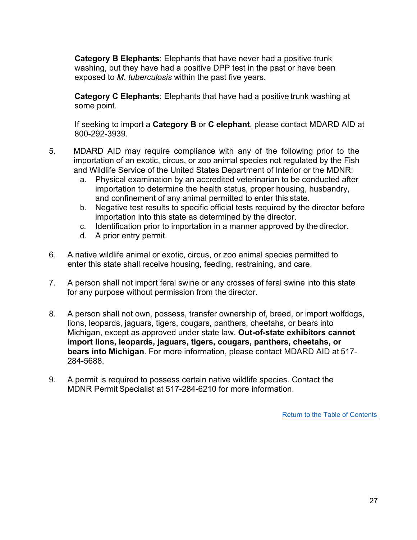**Category B Elephants**: Elephants that have never had a positive trunk washing, but they have had a positive DPP test in the past or have been exposed to *M*. *tuberculosis* within the past five years.

**Category C Elephants**: Elephants that have had a positive trunk washing at some point.

If seeking to import a **Category B** or **C elephant**, please contact MDARD AID at 800-292-3939.

- 5. MDARD AID may require compliance with any of the following prior to the importation of an exotic, circus, or zoo animal species not regulated by the Fish and Wildlife Service of the United States Department of Interior or the MDNR:
	- a. Physical examination by an accredited veterinarian to be conducted after importation to determine the health status, proper housing, husbandry, and confinement of any animal permitted to enter this state.
	- b. Negative test results to specific official tests required by the director before importation into this state as determined by the director.
	- c. Identification prior to importation in a manner approved by the director.
	- d. A prior entry permit.
- 6. A native wildlife animal or exotic, circus, or zoo animal species permitted to enter this state shall receive housing, feeding, restraining, and care.
- 7. A person shall not import feral swine or any crosses of feral swine into this state for any purpose without permission from the director.
- 8. A person shall not own, possess, transfer ownership of, breed, or import wolfdogs, lions, leopards, jaguars, tigers, cougars, panthers, cheetahs, or bears into Michigan, except as approved under state law. **Out-of-state exhibitors cannot import lions, leopards, jaguars, tigers, cougars, panthers, cheetahs, or bears into Michigan**. For more information, please contact MDARD AID at 517- 284-5688.
- 9. A permit is required to possess certain native wildlife species. Contact the MDNR Permit Specialist at 517-284-6210 for more information.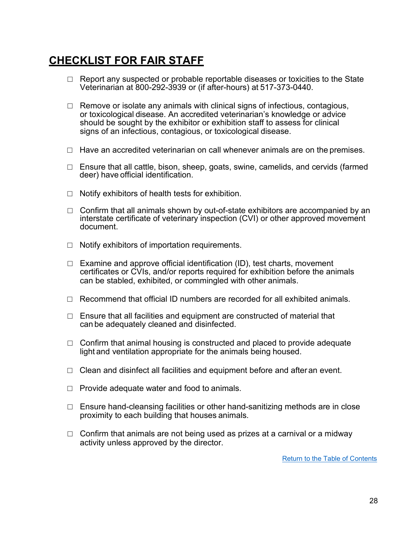# <span id="page-27-0"></span>**CHECKLIST FOR FAIR STAFF**

- $\Box$  Report any suspected or probable reportable diseases or toxicities to the State Veterinarian at 800-292-3939 or (if after-hours) at 517-373-0440.
- $\Box$  Remove or isolate any animals with clinical signs of infectious, contagious, or toxicological disease. An accredited veterinarian's knowledge or advice should be sought by the exhibitor or exhibition staff to assess for clinical signs of an infectious, contagious, or toxicological disease.
- $\Box$  Have an accredited veterinarian on call whenever animals are on the premises.
- $\Box$  Ensure that all cattle, bison, sheep, goats, swine, camelids, and cervids (farmed deer) have official identification.
- $\Box$  Notify exhibitors of health tests for exhibition.
- $\Box$  Confirm that all animals shown by out-of-state exhibitors are accompanied by an interstate certificate of veterinary inspection (CVI) or other approved movement document.
- $\Box$  Notify exhibitors of importation requirements.
- $\Box$  Examine and approve official identification (ID), test charts, movement certificates or CVIs, and/or reports required for exhibition before the animals can be stabled, exhibited, or commingled with other animals.
- $\Box$  Recommend that official ID numbers are recorded for all exhibited animals.
- $\Box$  Ensure that all facilities and equipment are constructed of material that can be adequately cleaned and disinfected.
- $\Box$  Confirm that animal housing is constructed and placed to provide adequate light and ventilation appropriate for the animals being housed.
- $\Box$  Clean and disinfect all facilities and equipment before and after an event.
- $\Box$  Provide adequate water and food to animals.
- $\Box$  Ensure hand-cleansing facilities or other hand-sanitizing methods are in close proximity to each building that houses animals.
- $\Box$  Confirm that animals are not being used as prizes at a carnival or a midway activity unless approved by the director.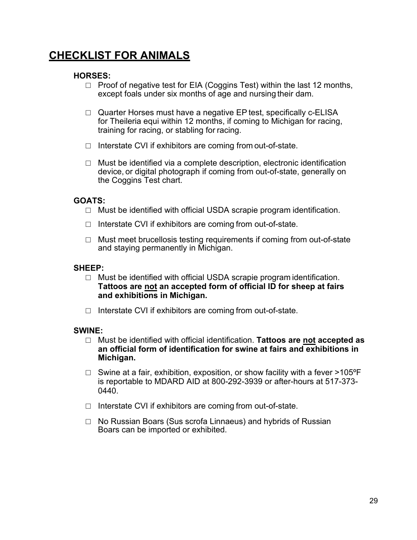## <span id="page-28-0"></span>**CHECKLIST FOR ANIMALS**

#### **HORSES:**

- $\Box$  Proof of negative test for EIA (Coggins Test) within the last 12 months, except foals under six months of age and nursing their dam.
- □ Quarter Horses must have a negative EP test, specifically c-ELISA for Theileria equi within 12 months, if coming to Michigan for racing, training for racing, or stabling for racing.
- □ Interstate CVI if exhibitors are coming from out-of-state.
- $\Box$  Must be identified via a complete description, electronic identification device, or digital photograph if coming from out-of-state, generally on the Coggins Test chart.

### **GOATS:**

- □ Must be identified with official USDA scrapie program identification.
- $\Box$  Interstate CVI if exhibitors are coming from out-of-state.
- $\Box$  Must meet brucellosis testing requirements if coming from out-of-state and staying permanently in Michigan.

#### **SHEEP:**

- □ Must be identified with official USDA scrapie program identification. **Tattoos are not an accepted form of official ID for sheep at fairs and exhibitions in Michigan.**
- □ Interstate CVI if exhibitors are coming from out-of-state.

#### **SWINE:**

- □ Must be identified with official identification. **Tattoos are not accepted as an official form of identification for swine at fairs and exhibitions in Michigan.**
- $\Box$  Swine at a fair, exhibition, exposition, or show facility with a fever >105°F is reportable to MDARD AID at 800-292-3939 or after-hours at 517-373- 0440.
- $\Box$  Interstate CVI if exhibitors are coming from out-of-state.
- □ No Russian Boars (Sus scrofa Linnaeus) and hybrids of Russian Boars can be imported or exhibited.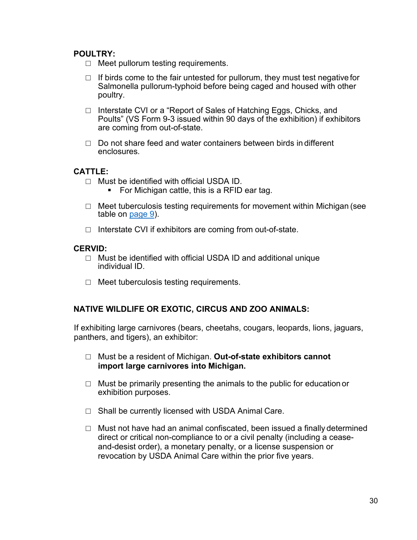#### **POULTRY:**

- $\Box$  Meet pullorum testing requirements.
- $\Box$  If birds come to the fair untested for pullorum, they must test negative for Salmonella pullorum-typhoid before being caged and housed with other poultry.
- □ Interstate CVI or a "Report of Sales of Hatching Eggs, Chicks, and Poults" (VS Form 9-3 issued within 90 days of the exhibition) if exhibitors are coming from out-of-state.
- $\Box$  Do not share feed and water containers between birds in different enclosures.

#### **CATTLE:**

- □ Must be identified with official USDA ID.<br>For Michigan cattle, this is a RFID
	- For Michigan cattle, this is a RFID ear tag.
- $\Box$  Meet tuberculosis testing requirements for movement within Michigan (see table on [page](#page-8-0) 9).
- □ Interstate CVI if exhibitors are coming from out-of-state.

#### **CERVID:**

- □ Must be identified with official USDA ID and additional unique individual ID.
- $\Box$  Meet tuberculosis testing requirements.

#### **NATIVE WILDLIFE OR EXOTIC, CIRCUS AND ZOO ANIMALS:**

If exhibiting large carnivores (bears, cheetahs, cougars, leopards, lions, jaguars, panthers, and tigers), an exhibitor:

- □ Must be a resident of Michigan. **Out-of-state exhibitors cannot import large carnivores into Michigan.**
- $\Box$  Must be primarily presenting the animals to the public for education or exhibition purposes.
- $\Box$  Shall be currently licensed with USDA Animal Care.
- $\Box$  Must not have had an animal confiscated, been issued a finally determined direct or critical non-compliance to or a civil penalty (including a ceaseand-desist order), a monetary penalty, or a license suspension or revocation by USDA Animal Care within the prior five years.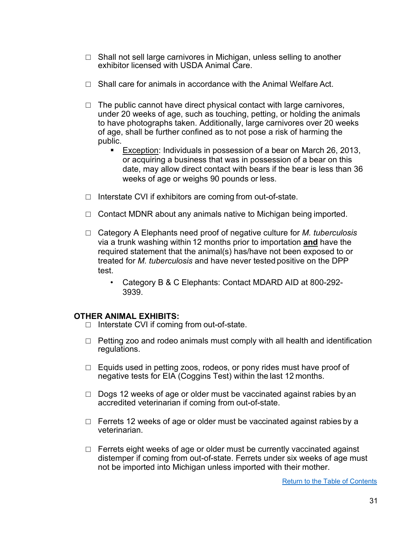- $\Box$  Shall not sell large carnivores in Michigan, unless selling to another exhibitor licensed with USDA Animal Care.
- $\Box$  Shall care for animals in accordance with the Animal Welfare Act.
- $\Box$  The public cannot have direct physical contact with large carnivores, under 20 weeks of age, such as touching, petting, or holding the animals to have photographs taken. Additionally, large carnivores over 20 weeks of age, shall be further confined as to not pose a risk of harming the public.
	- Exception: Individuals in possession of a bear on March 26, 2013, or acquiring a business that was in possession of a bear on this date, may allow direct contact with bears if the bear is less than 36 weeks of age or weighs 90 pounds or less.
- $\Box$  Interstate CVI if exhibitors are coming from out-of-state.
- $\Box$  Contact MDNR about any animals native to Michigan being imported.
- □ Category A Elephants need proof of negative culture for *M. tuberculosis* via a trunk washing within 12 months prior to importation **and** have the required statement that the animal(s) has/have not been exposed to or treated for *M. tuberculosis* and have never tested positive on the DPP test.
	- Category B & C Elephants: Contact MDARD AID at 800-292- 3939.

#### **OTHER ANIMAL EXHIBITS:**

- □ Interstate CVI if coming from out-of-state.
- $\Box$  Petting zoo and rodeo animals must comply with all health and identification regulations.
- □ Equids used in petting zoos, rodeos, or pony rides must have proof of negative tests for EIA (Coggins Test) within the last 12 months.
- $\Box$  Dogs 12 weeks of age or older must be vaccinated against rabies by an accredited veterinarian if coming from out-of-state.
- $\Box$  Ferrets 12 weeks of age or older must be vaccinated against rabies by a veterinarian.
- $\Box$  Ferrets eight weeks of age or older must be currently vaccinated against distemper if coming from out-of-state. Ferrets under six weeks of age must not be imported into Michigan unless imported with their mother.